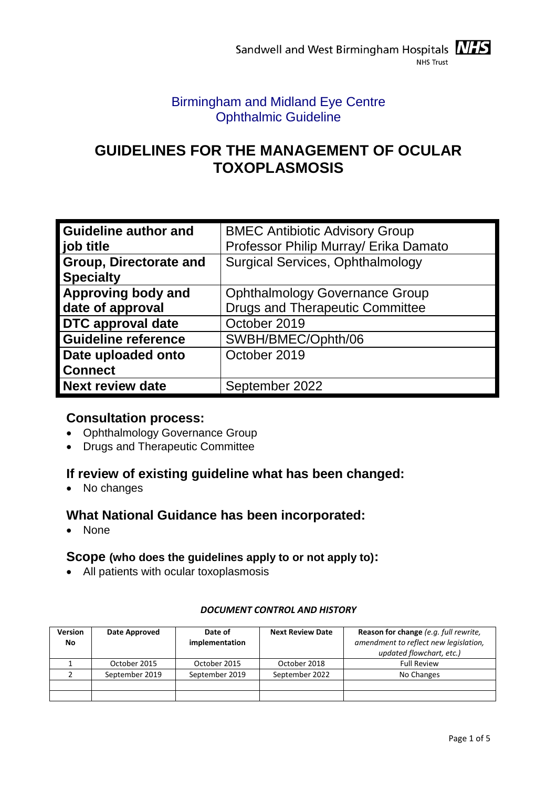# Birmingham and Midland Eye Centre Ophthalmic Guideline

# **GUIDELINES FOR THE MANAGEMENT OF OCULAR TOXOPLASMOSIS**

| <b>Guideline author and</b><br>job title   | <b>BMEC Antibiotic Advisory Group</b><br>Professor Philip Murray/ Erika Damato  |
|--------------------------------------------|---------------------------------------------------------------------------------|
| Group, Directorate and<br><b>Specialty</b> | <b>Surgical Services, Ophthalmology</b>                                         |
| Approving body and<br>date of approval     | <b>Ophthalmology Governance Group</b><br><b>Drugs and Therapeutic Committee</b> |
| <b>DTC</b> approval date                   | October 2019                                                                    |
| <b>Guideline reference</b>                 | SWBH/BMEC/Ophth/06                                                              |
| Date uploaded onto<br><b>Connect</b>       | October 2019                                                                    |
| <b>Next review date</b>                    | September 2022                                                                  |

# **Consultation process:**

- Ophthalmology Governance Group
- Drugs and Therapeutic Committee

# **If review of existing guideline what has been changed:**

• No changes

# **What National Guidance has been incorporated:**

• None

### **Scope (who does the guidelines apply to or not apply to):**

All patients with ocular toxoplasmosis

| <b>Version</b><br>No | Date Approved  | Date of<br>implementation | <b>Next Review Date</b> | Reason for change (e.g. full rewrite,<br>amendment to reflect new legislation,<br>updated flowchart, etc.) |
|----------------------|----------------|---------------------------|-------------------------|------------------------------------------------------------------------------------------------------------|
|                      | October 2015   | October 2015              | October 2018            | <b>Full Review</b>                                                                                         |
|                      | September 2019 | September 2019            | September 2022          | No Changes                                                                                                 |
|                      |                |                           |                         |                                                                                                            |
|                      |                |                           |                         |                                                                                                            |

#### *DOCUMENT CONTROL AND HISTORY*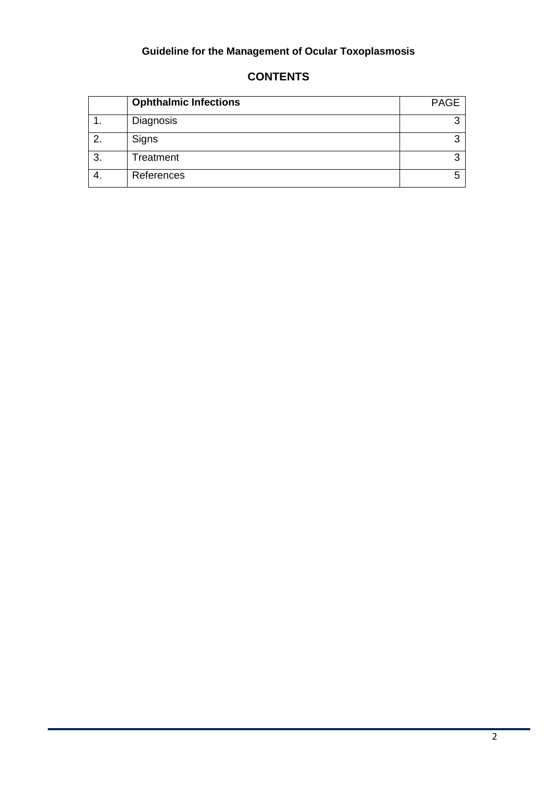# **Guideline for the Management of Ocular Toxoplasmosis**

|    | <b>Ophthalmic Infections</b> | <b>PAGE</b> |
|----|------------------------------|-------------|
|    | Diagnosis                    | ◠           |
| 2. | Signs                        | ◠           |
| 3. | Treatment                    | ົ           |
|    | References                   |             |

## **CONTENTS**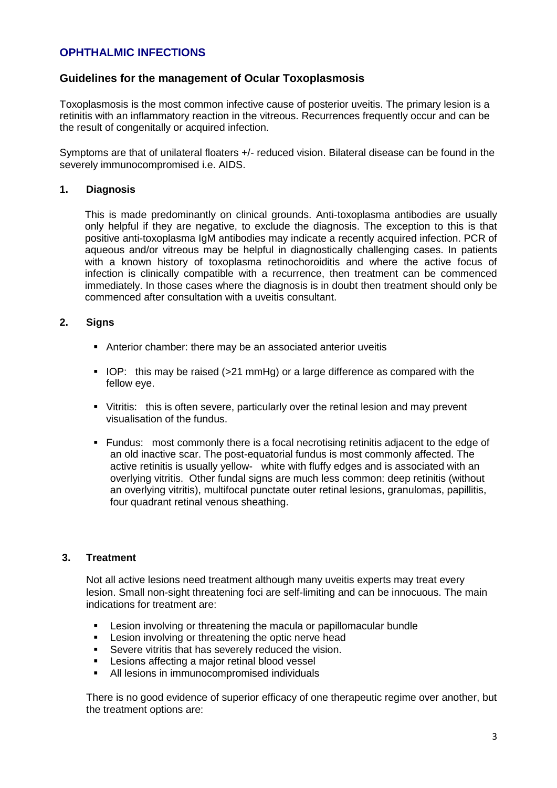### **OPHTHALMIC INFECTIONS**

### **Guidelines for the management of Ocular Toxoplasmosis**

Toxoplasmosis is the most common infective cause of posterior uveitis. The primary lesion is a retinitis with an inflammatory reaction in the vitreous. Recurrences frequently occur and can be the result of congenitally or acquired infection.

Symptoms are that of unilateral floaters +/- reduced vision. Bilateral disease can be found in the severely immunocompromised i.e. AIDS.

#### **1. Diagnosis**

This is made predominantly on clinical grounds. Anti-toxoplasma antibodies are usually only helpful if they are negative, to exclude the diagnosis. The exception to this is that positive anti-toxoplasma IgM antibodies may indicate a recently acquired infection. PCR of aqueous and/or vitreous may be helpful in diagnostically challenging cases. In patients with a known history of toxoplasma retinochoroiditis and where the active focus of infection is clinically compatible with a recurrence, then treatment can be commenced immediately. In those cases where the diagnosis is in doubt then treatment should only be commenced after consultation with a uveitis consultant.

#### **2. Signs**

- Anterior chamber: there may be an associated anterior uveitis
- IOP: this may be raised (>21 mmHg) or a large difference as compared with the fellow eye.
- Vitritis: this is often severe, particularly over the retinal lesion and may prevent visualisation of the fundus.
- Fundus: most commonly there is a focal necrotising retinitis adjacent to the edge of an old inactive scar. The post-equatorial fundus is most commonly affected. The active retinitis is usually yellow- white with fluffy edges and is associated with an overlying vitritis. Other fundal signs are much less common: deep retinitis (without an overlying vitritis), multifocal punctate outer retinal lesions, granulomas, papillitis, four quadrant retinal venous sheathing.

#### **3. Treatment**

Not all active lesions need treatment although many uveitis experts may treat every lesion. Small non-sight threatening foci are self-limiting and can be innocuous. The main indications for treatment are:

- Lesion involving or threatening the macula or papillomacular bundle
- **EXECT:** Lesion involving or threatening the optic nerve head
- Severe vitritis that has severely reduced the vision.
- Lesions affecting a major retinal blood vessel
- All lesions in immunocompromised individuals

There is no good evidence of superior efficacy of one therapeutic regime over another, but the treatment options are: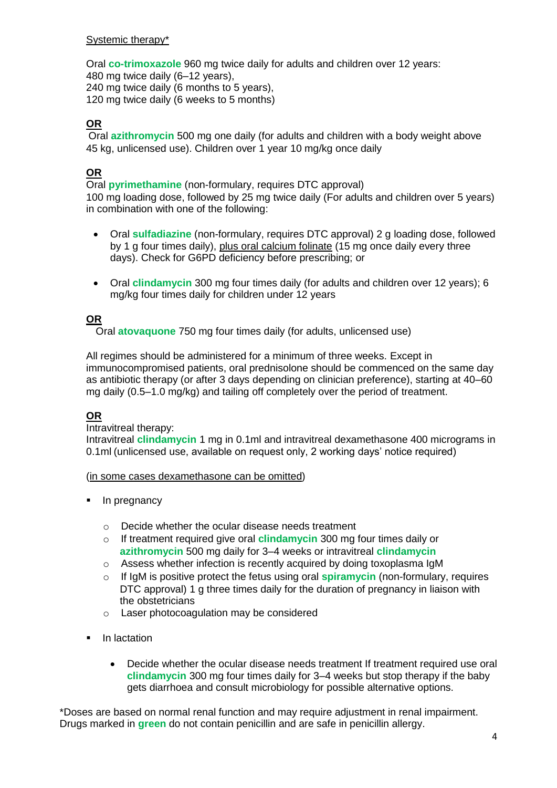#### Systemic therapy\*

Oral **co-trimoxazole** 960 mg twice daily for adults and children over 12 years: 480 mg twice daily (6–12 years), 240 mg twice daily (6 months to 5 years), 120 mg twice daily (6 weeks to 5 months)

### **OR**

Oral **azithromycin** 500 mg one daily (for adults and children with a body weight above 45 kg, unlicensed use). Children over 1 year 10 mg/kg once daily

### **OR**

Oral **pyrimethamine** (non-formulary, requires DTC approval) 100 mg loading dose, followed by 25 mg twice daily (For adults and children over 5 years) in combination with one of the following:

- Oral **sulfadiazine** (non-formulary, requires DTC approval) 2 g loading dose, followed by 1 g four times daily), plus oral calcium folinate (15 mg once daily every three days). Check for G6PD deficiency before prescribing; or
- Oral **clindamycin** 300 mg four times daily (for adults and children over 12 years); 6 mg/kg four times daily for children under 12 years

### **OR**

Oral **atovaquone** 750 mg four times daily (for adults, unlicensed use)

All regimes should be administered for a minimum of three weeks. Except in immunocompromised patients, oral prednisolone should be commenced on the same day as antibiotic therapy (or after 3 days depending on clinician preference), starting at 40–60 mg daily (0.5–1.0 mg/kg) and tailing off completely over the period of treatment.

#### **OR**

#### Intravitreal therapy:

Intravitreal **clindamycin** 1 mg in 0.1ml and intravitreal dexamethasone 400 micrograms in 0.1ml (unlicensed use, available on request only, 2 working days' notice required)

#### (in some cases dexamethasone can be omitted)

- In pregnancy
	- o Decide whether the ocular disease needs treatment
	- o If treatment required give oral **clindamycin** 300 mg four times daily or **azithromycin** 500 mg daily for 3–4 weeks or intravitreal **clindamycin**
	- o Assess whether infection is recently acquired by doing toxoplasma IgM
	- o If IgM is positive protect the fetus using oral **spiramycin** (non-formulary, requires DTC approval) 1 g three times daily for the duration of pregnancy in liaison with the obstetricians
	- o Laser photocoagulation may be considered
- In lactation
	- Decide whether the ocular disease needs treatment If treatment required use oral **clindamycin** 300 mg four times daily for 3–4 weeks but stop therapy if the baby gets diarrhoea and consult microbiology for possible alternative options.

\*Doses are based on normal renal function and may require adjustment in renal impairment. Drugs marked in **green** do not contain penicillin and are safe in penicillin allergy.